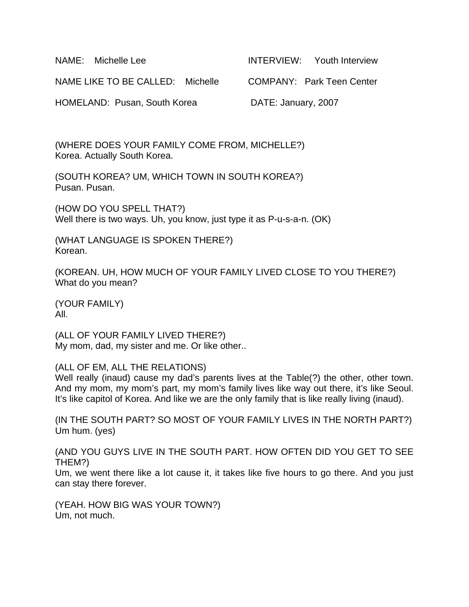| NAME: Michelle Lee               | <b>INTERVIEW:</b> Youth Interview |
|----------------------------------|-----------------------------------|
| NAME LIKE TO BE CALLED: Michelle | COMPANY: Park Teen Center         |
| HOMELAND: Pusan, South Korea     | DATE: January, 2007               |

(WHERE DOES YOUR FAMILY COME FROM, MICHELLE?) Korea. Actually South Korea.

(SOUTH KOREA? UM, WHICH TOWN IN SOUTH KOREA?) Pusan. Pusan.

(HOW DO YOU SPELL THAT?) Well there is two ways. Uh, you know, just type it as P-u-s-a-n. (OK)

(WHAT LANGUAGE IS SPOKEN THERE?) Korean.

(KOREAN. UH, HOW MUCH OF YOUR FAMILY LIVED CLOSE TO YOU THERE?) What do you mean?

(YOUR FAMILY) All.

(ALL OF YOUR FAMILY LIVED THERE?) My mom, dad, my sister and me. Or like other..

(ALL OF EM, ALL THE RELATIONS)

Well really (inaud) cause my dad's parents lives at the Table(?) the other, other town. And my mom, my mom's part, my mom's family lives like way out there, it's like Seoul. It's like capitol of Korea. And like we are the only family that is like really living (inaud).

(IN THE SOUTH PART? SO MOST OF YOUR FAMILY LIVES IN THE NORTH PART?) Um hum. (yes)

(AND YOU GUYS LIVE IN THE SOUTH PART. HOW OFTEN DID YOU GET TO SEE THEM?)

Um, we went there like a lot cause it, it takes like five hours to go there. And you just can stay there forever.

(YEAH. HOW BIG WAS YOUR TOWN?) Um, not much.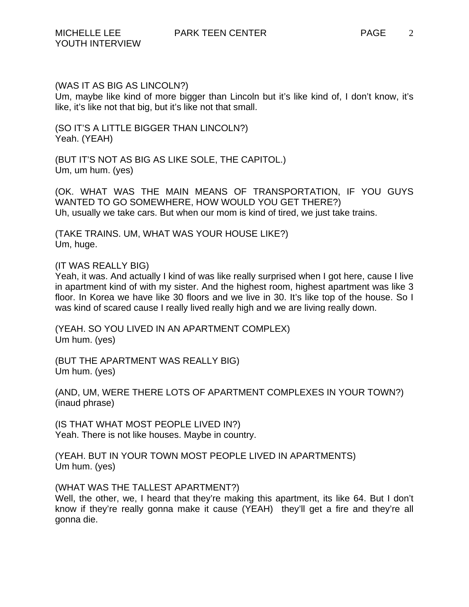### (WAS IT AS BIG AS LINCOLN?)

Um, maybe like kind of more bigger than Lincoln but it's like kind of, I don't know, it's like, it's like not that big, but it's like not that small.

(SO IT'S A LITTLE BIGGER THAN LINCOLN?) Yeah. (YEAH)

(BUT IT'S NOT AS BIG AS LIKE SOLE, THE CAPITOL.) Um, um hum. (yes)

(OK. WHAT WAS THE MAIN MEANS OF TRANSPORTATION, IF YOU GUYS WANTED TO GO SOMEWHERE, HOW WOULD YOU GET THERE?) Uh, usually we take cars. But when our mom is kind of tired, we just take trains.

(TAKE TRAINS. UM, WHAT WAS YOUR HOUSE LIKE?) Um, huge.

### (IT WAS REALLY BIG)

Yeah, it was. And actually I kind of was like really surprised when I got here, cause I live in apartment kind of with my sister. And the highest room, highest apartment was like 3 floor. In Korea we have like 30 floors and we live in 30. It's like top of the house. So I was kind of scared cause I really lived really high and we are living really down.

(YEAH. SO YOU LIVED IN AN APARTMENT COMPLEX) Um hum. (yes)

(BUT THE APARTMENT WAS REALLY BIG) Um hum. (yes)

(AND, UM, WERE THERE LOTS OF APARTMENT COMPLEXES IN YOUR TOWN?) (inaud phrase)

(IS THAT WHAT MOST PEOPLE LIVED IN?) Yeah. There is not like houses. Maybe in country.

(YEAH. BUT IN YOUR TOWN MOST PEOPLE LIVED IN APARTMENTS) Um hum. (yes)

# (WHAT WAS THE TALLEST APARTMENT?)

Well, the other, we, I heard that they're making this apartment, its like 64. But I don't know if they're really gonna make it cause (YEAH) they'll get a fire and they're all gonna die.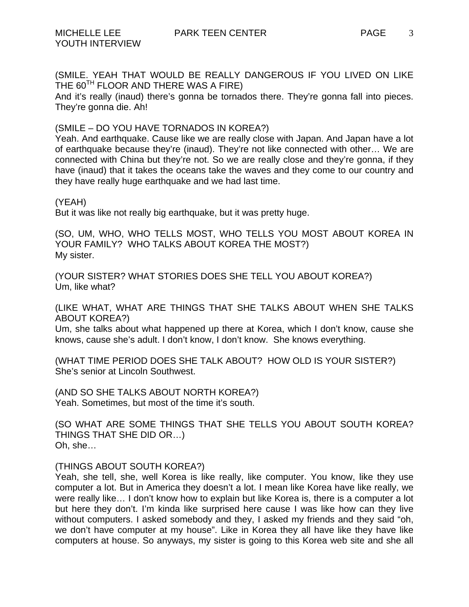YOUTH INTERVIEW

(SMILE. YEAH THAT WOULD BE REALLY DANGEROUS IF YOU LIVED ON LIKE THE 60<sup>TH</sup> FLOOR AND THERE WAS A FIRE)

And it's really (inaud) there's gonna be tornados there. They're gonna fall into pieces. They're gonna die. Ah!

(SMILE – DO YOU HAVE TORNADOS IN KOREA?)

Yeah. And earthquake. Cause like we are really close with Japan. And Japan have a lot of earthquake because they're (inaud). They're not like connected with other… We are connected with China but they're not. So we are really close and they're gonna, if they have (inaud) that it takes the oceans take the waves and they come to our country and they have really huge earthquake and we had last time.

#### (YEAH)

But it was like not really big earthquake, but it was pretty huge.

(SO, UM, WHO, WHO TELLS MOST, WHO TELLS YOU MOST ABOUT KOREA IN YOUR FAMILY? WHO TALKS ABOUT KOREA THE MOST?) My sister.

(YOUR SISTER? WHAT STORIES DOES SHE TELL YOU ABOUT KOREA?) Um, like what?

(LIKE WHAT, WHAT ARE THINGS THAT SHE TALKS ABOUT WHEN SHE TALKS ABOUT KOREA?)

Um, she talks about what happened up there at Korea, which I don't know, cause she knows, cause she's adult. I don't know, I don't know. She knows everything.

(WHAT TIME PERIOD DOES SHE TALK ABOUT? HOW OLD IS YOUR SISTER?) She's senior at Lincoln Southwest.

(AND SO SHE TALKS ABOUT NORTH KOREA?) Yeah. Sometimes, but most of the time it's south.

(SO WHAT ARE SOME THINGS THAT SHE TELLS YOU ABOUT SOUTH KOREA? THINGS THAT SHE DID OR…) Oh, she…

### (THINGS ABOUT SOUTH KOREA?)

Yeah, she tell, she, well Korea is like really, like computer. You know, like they use computer a lot. But in America they doesn't a lot. I mean like Korea have like really, we were really like… I don't know how to explain but like Korea is, there is a computer a lot but here they don't. I'm kinda like surprised here cause I was like how can they live without computers. I asked somebody and they, I asked my friends and they said "oh, we don't have computer at my house". Like in Korea they all have like they have like computers at house. So anyways, my sister is going to this Korea web site and she all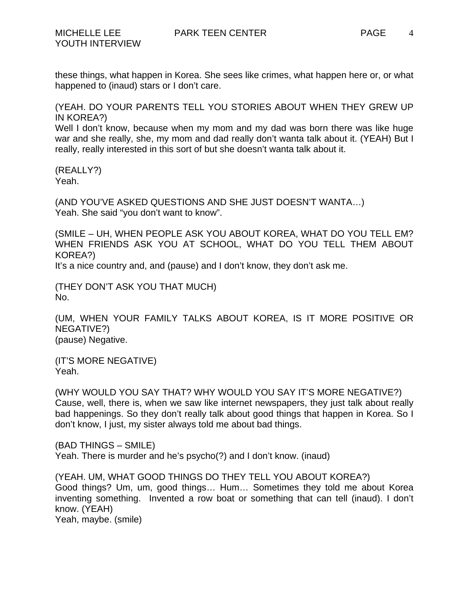these things, what happen in Korea. She sees like crimes, what happen here or, or what happened to (inaud) stars or I don't care.

(YEAH. DO YOUR PARENTS TELL YOU STORIES ABOUT WHEN THEY GREW UP IN KOREA?)

Well I don't know, because when my mom and my dad was born there was like huge war and she really, she, my mom and dad really don't wanta talk about it. (YEAH) But I really, really interested in this sort of but she doesn't wanta talk about it.

(REALLY?) Yeah.

(AND YOU'VE ASKED QUESTIONS AND SHE JUST DOESN'T WANTA…) Yeah. She said "you don't want to know".

(SMILE – UH, WHEN PEOPLE ASK YOU ABOUT KOREA, WHAT DO YOU TELL EM? WHEN FRIENDS ASK YOU AT SCHOOL, WHAT DO YOU TELL THEM ABOUT KOREA?)

It's a nice country and, and (pause) and I don't know, they don't ask me.

(THEY DON'T ASK YOU THAT MUCH) No.

(UM, WHEN YOUR FAMILY TALKS ABOUT KOREA, IS IT MORE POSITIVE OR NEGATIVE?) (pause) Negative.

(IT'S MORE NEGATIVE) Yeah.

(WHY WOULD YOU SAY THAT? WHY WOULD YOU SAY IT'S MORE NEGATIVE?) Cause, well, there is, when we saw like internet newspapers, they just talk about really bad happenings. So they don't really talk about good things that happen in Korea. So I don't know, I just, my sister always told me about bad things.

(BAD THINGS – SMILE) Yeah. There is murder and he's psycho(?) and I don't know. (inaud)

(YEAH. UM, WHAT GOOD THINGS DO THEY TELL YOU ABOUT KOREA?) Good things? Um, um, good things… Hum… Sometimes they told me about Korea inventing something. Invented a row boat or something that can tell (inaud). I don't know. (YEAH) Yeah, maybe. (smile)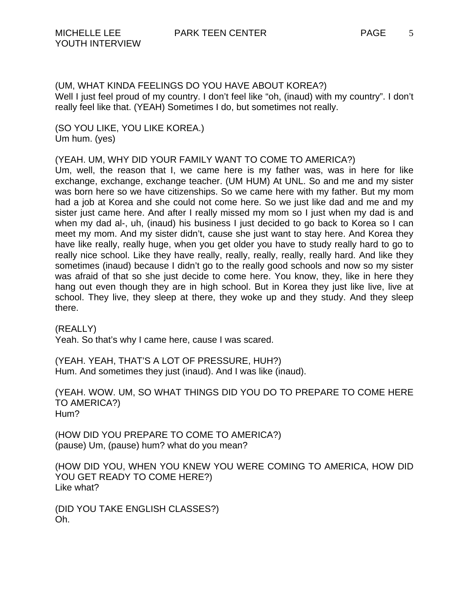(UM, WHAT KINDA FEELINGS DO YOU HAVE ABOUT KOREA?) Well I just feel proud of my country. I don't feel like "oh, (inaud) with my country". I don't really feel like that. (YEAH) Sometimes I do, but sometimes not really.

(SO YOU LIKE, YOU LIKE KOREA.) Um hum. (yes)

(YEAH. UM, WHY DID YOUR FAMILY WANT TO COME TO AMERICA?)

Um, well, the reason that I, we came here is my father was, was in here for like exchange, exchange, exchange teacher. (UM HUM) At UNL. So and me and my sister was born here so we have citizenships. So we came here with my father. But my mom had a job at Korea and she could not come here. So we just like dad and me and my sister just came here. And after I really missed my mom so I just when my dad is and when my dad al-, uh, (inaud) his business I just decided to go back to Korea so I can meet my mom. And my sister didn't, cause she just want to stay here. And Korea they have like really, really huge, when you get older you have to study really hard to go to really nice school. Like they have really, really, really, really, really hard. And like they sometimes (inaud) because I didn't go to the really good schools and now so my sister was afraid of that so she just decide to come here. You know, they, like in here they hang out even though they are in high school. But in Korea they just like live, live at school. They live, they sleep at there, they woke up and they study. And they sleep there.

(REALLY) Yeah. So that's why I came here, cause I was scared.

(YEAH. YEAH, THAT'S A LOT OF PRESSURE, HUH?) Hum. And sometimes they just (inaud). And I was like (inaud).

(YEAH. WOW. UM, SO WHAT THINGS DID YOU DO TO PREPARE TO COME HERE TO AMERICA?) Hum?

(HOW DID YOU PREPARE TO COME TO AMERICA?) (pause) Um, (pause) hum? what do you mean?

(HOW DID YOU, WHEN YOU KNEW YOU WERE COMING TO AMERICA, HOW DID YOU GET READY TO COME HERE?) Like what?

(DID YOU TAKE ENGLISH CLASSES?) Oh.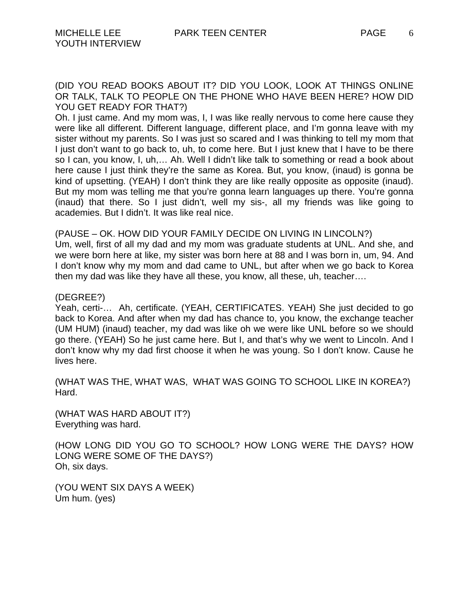6

(DID YOU READ BOOKS ABOUT IT? DID YOU LOOK, LOOK AT THINGS ONLINE OR TALK, TALK TO PEOPLE ON THE PHONE WHO HAVE BEEN HERE? HOW DID YOU GET READY FOR THAT?)

Oh. I just came. And my mom was, I, I was like really nervous to come here cause they were like all different. Different language, different place, and I'm gonna leave with my sister without my parents. So I was just so scared and I was thinking to tell my mom that I just don't want to go back to, uh, to come here. But I just knew that I have to be there so I can, you know, I, uh,… Ah. Well I didn't like talk to something or read a book about here cause I just think they're the same as Korea. But, you know, (inaud) is gonna be kind of upsetting. (YEAH) I don't think they are like really opposite as opposite (inaud). But my mom was telling me that you're gonna learn languages up there. You're gonna (inaud) that there. So I just didn't, well my sis-, all my friends was like going to academies. But I didn't. It was like real nice.

(PAUSE – OK. HOW DID YOUR FAMILY DECIDE ON LIVING IN LINCOLN?)

Um, well, first of all my dad and my mom was graduate students at UNL. And she, and we were born here at like, my sister was born here at 88 and I was born in, um, 94. And I don't know why my mom and dad came to UNL, but after when we go back to Korea then my dad was like they have all these, you know, all these, uh, teacher….

(DEGREE?)

Yeah, certi-… Ah, certificate. (YEAH, CERTIFICATES. YEAH) She just decided to go back to Korea. And after when my dad has chance to, you know, the exchange teacher (UM HUM) (inaud) teacher, my dad was like oh we were like UNL before so we should go there. (YEAH) So he just came here. But I, and that's why we went to Lincoln. And I don't know why my dad first choose it when he was young. So I don't know. Cause he lives here.

(WHAT WAS THE, WHAT WAS, WHAT WAS GOING TO SCHOOL LIKE IN KOREA?) Hard.

(WHAT WAS HARD ABOUT IT?) Everything was hard.

(HOW LONG DID YOU GO TO SCHOOL? HOW LONG WERE THE DAYS? HOW LONG WERE SOME OF THE DAYS?) Oh, six days.

(YOU WENT SIX DAYS A WEEK) Um hum. (yes)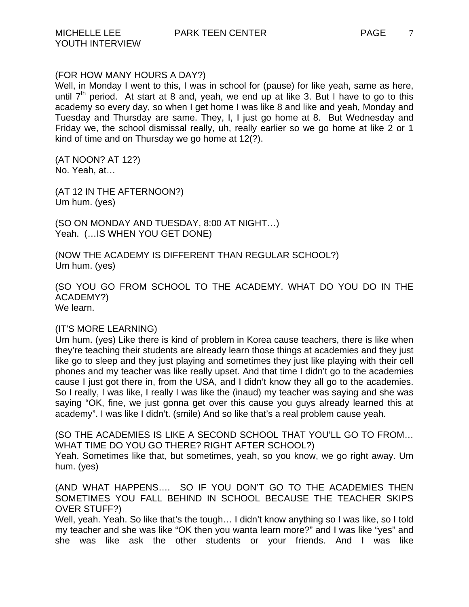YOUTH INTERVIEW

Well, in Monday I went to this, I was in school for (pause) for like yeah, same as here, until  $7<sup>th</sup>$  period. At start at 8 and, yeah, we end up at like 3. But I have to go to this academy so every day, so when I get home I was like 8 and like and yeah, Monday and Tuesday and Thursday are same. They, I, I just go home at 8. But Wednesday and Friday we, the school dismissal really, uh, really earlier so we go home at like 2 or 1 kind of time and on Thursday we go home at 12(?).

(AT NOON? AT 12?) No. Yeah, at…

(AT 12 IN THE AFTERNOON?) Um hum. (yes)

(SO ON MONDAY AND TUESDAY, 8:00 AT NIGHT…) Yeah. (…IS WHEN YOU GET DONE)

(NOW THE ACADEMY IS DIFFERENT THAN REGULAR SCHOOL?) Um hum. (yes)

(SO YOU GO FROM SCHOOL TO THE ACADEMY. WHAT DO YOU DO IN THE ACADEMY?) We learn.

### (IT'S MORE LEARNING)

Um hum. (yes) Like there is kind of problem in Korea cause teachers, there is like when they're teaching their students are already learn those things at academies and they just like go to sleep and they just playing and sometimes they just like playing with their cell phones and my teacher was like really upset. And that time I didn't go to the academies cause I just got there in, from the USA, and I didn't know they all go to the academies. So I really, I was like, I really I was like the (inaud) my teacher was saying and she was saying "OK, fine, we just gonna get over this cause you guys already learned this at academy". I was like I didn't. (smile) And so like that's a real problem cause yeah.

(SO THE ACADEMIES IS LIKE A SECOND SCHOOL THAT YOU'LL GO TO FROM… WHAT TIME DO YOU GO THERE? RIGHT AFTER SCHOOL?)

Yeah. Sometimes like that, but sometimes, yeah, so you know, we go right away. Um hum. (yes)

(AND WHAT HAPPENS…. SO IF YOU DON'T GO TO THE ACADEMIES THEN SOMETIMES YOU FALL BEHIND IN SCHOOL BECAUSE THE TEACHER SKIPS OVER STUFF?)

Well, yeah. Yeah. So like that's the tough... I didn't know anything so I was like, so I told my teacher and she was like "OK then you wanta learn more?" and I was like "yes" and she was like ask the other students or your friends. And I was like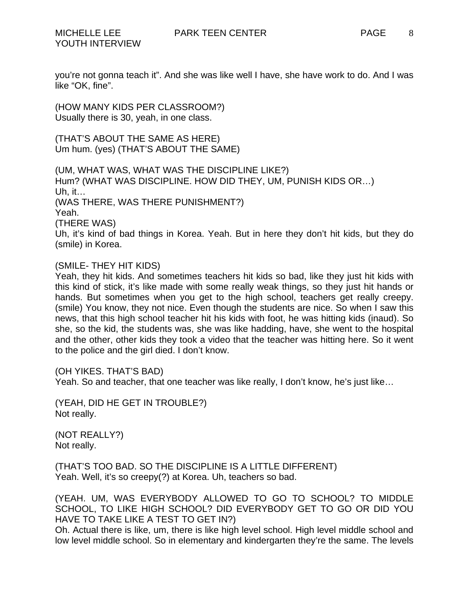8

you're not gonna teach it". And she was like well I have, she have work to do. And I was like "OK, fine".

(HOW MANY KIDS PER CLASSROOM?) Usually there is 30, yeah, in one class.

(THAT'S ABOUT THE SAME AS HERE) Um hum. (yes) (THAT'S ABOUT THE SAME)

(UM, WHAT WAS, WHAT WAS THE DISCIPLINE LIKE?) Hum? (WHAT WAS DISCIPLINE. HOW DID THEY, UM, PUNISH KIDS OR…) Uh, it… (WAS THERE, WAS THERE PUNISHMENT?) Yeah. (THERE WAS) Uh, it's kind of bad things in Korea. Yeah. But in here they don't hit kids, but they do (smile) in Korea.

# (SMILE- THEY HIT KIDS)

Yeah, they hit kids. And sometimes teachers hit kids so bad, like they just hit kids with this kind of stick, it's like made with some really weak things, so they just hit hands or hands. But sometimes when you get to the high school, teachers get really creepy. (smile) You know, they not nice. Even though the students are nice. So when I saw this news, that this high school teacher hit his kids with foot, he was hitting kids (inaud). So she, so the kid, the students was, she was like hadding, have, she went to the hospital and the other, other kids they took a video that the teacher was hitting here. So it went to the police and the girl died. I don't know.

(OH YIKES. THAT'S BAD)

Yeah. So and teacher, that one teacher was like really, I don't know, he's just like…

(YEAH, DID HE GET IN TROUBLE?) Not really.

(NOT REALLY?) Not really.

(THAT'S TOO BAD. SO THE DISCIPLINE IS A LITTLE DIFFERENT) Yeah. Well, it's so creepy(?) at Korea. Uh, teachers so bad.

(YEAH. UM, WAS EVERYBODY ALLOWED TO GO TO SCHOOL? TO MIDDLE SCHOOL, TO LIKE HIGH SCHOOL? DID EVERYBODY GET TO GO OR DID YOU HAVE TO TAKE LIKE A TEST TO GET IN?)

Oh. Actual there is like, um, there is like high level school. High level middle school and low level middle school. So in elementary and kindergarten they're the same. The levels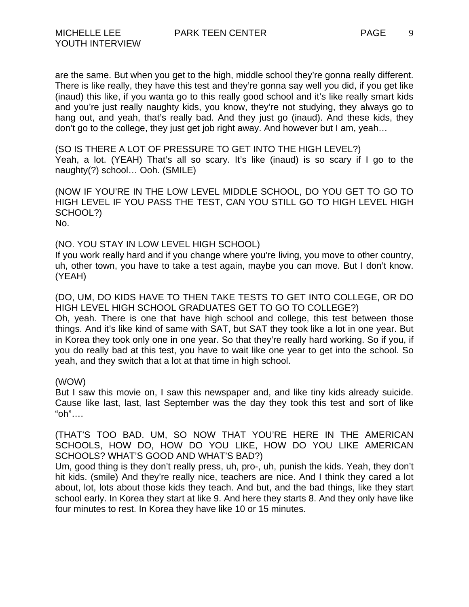are the same. But when you get to the high, middle school they're gonna really different. There is like really, they have this test and they're gonna say well you did, if you get like (inaud) this like, if you wanta go to this really good school and it's like really smart kids and you're just really naughty kids, you know, they're not studying, they always go to hang out, and yeah, that's really bad. And they just go (inaud). And these kids, they don't go to the college, they just get job right away. And however but I am, yeah…

(SO IS THERE A LOT OF PRESSURE TO GET INTO THE HIGH LEVEL?) Yeah, a lot. (YEAH) That's all so scary. It's like (inaud) is so scary if I go to the naughty(?) school… Ooh. (SMILE)

(NOW IF YOU'RE IN THE LOW LEVEL MIDDLE SCHOOL, DO YOU GET TO GO TO HIGH LEVEL IF YOU PASS THE TEST, CAN YOU STILL GO TO HIGH LEVEL HIGH SCHOOL?) No.

(NO. YOU STAY IN LOW LEVEL HIGH SCHOOL)

If you work really hard and if you change where you're living, you move to other country, uh, other town, you have to take a test again, maybe you can move. But I don't know. (YEAH)

(DO, UM, DO KIDS HAVE TO THEN TAKE TESTS TO GET INTO COLLEGE, OR DO HIGH LEVEL HIGH SCHOOL GRADUATES GET TO GO TO COLLEGE?)

Oh, yeah. There is one that have high school and college, this test between those things. And it's like kind of same with SAT, but SAT they took like a lot in one year. But in Korea they took only one in one year. So that they're really hard working. So if you, if you do really bad at this test, you have to wait like one year to get into the school. So yeah, and they switch that a lot at that time in high school.

### (WOW)

But I saw this movie on, I saw this newspaper and, and like tiny kids already suicide. Cause like last, last, last September was the day they took this test and sort of like "oh"….

(THAT'S TOO BAD. UM, SO NOW THAT YOU'RE HERE IN THE AMERICAN SCHOOLS, HOW DO, HOW DO YOU LIKE, HOW DO YOU LIKE AMERICAN SCHOOLS? WHAT'S GOOD AND WHAT'S BAD?)

Um, good thing is they don't really press, uh, pro-, uh, punish the kids. Yeah, they don't hit kids. (smile) And they're really nice, teachers are nice. And I think they cared a lot about, lot, lots about those kids they teach. And but, and the bad things, like they start school early. In Korea they start at like 9. And here they starts 8. And they only have like four minutes to rest. In Korea they have like 10 or 15 minutes.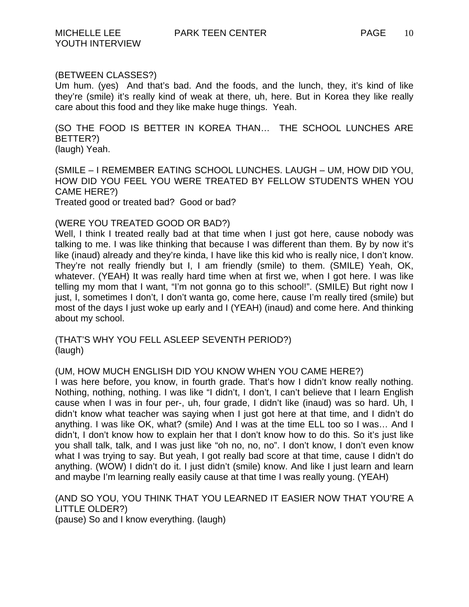# (BETWEEN CLASSES?)

Um hum. (yes) And that's bad. And the foods, and the lunch, they, it's kind of like they're (smile) it's really kind of weak at there, uh, here. But in Korea they like really care about this food and they like make huge things. Yeah.

(SO THE FOOD IS BETTER IN KOREA THAN… THE SCHOOL LUNCHES ARE BETTER?) (laugh) Yeah.

(SMILE – I REMEMBER EATING SCHOOL LUNCHES. LAUGH – UM, HOW DID YOU, HOW DID YOU FEEL YOU WERE TREATED BY FELLOW STUDENTS WHEN YOU CAME HERE?)

Treated good or treated bad? Good or bad?

### (WERE YOU TREATED GOOD OR BAD?)

Well, I think I treated really bad at that time when I just got here, cause nobody was talking to me. I was like thinking that because I was different than them. By by now it's like (inaud) already and they're kinda, I have like this kid who is really nice, I don't know. They're not really friendly but I, I am friendly (smile) to them. (SMILE) Yeah, OK, whatever. (YEAH) It was really hard time when at first we, when I got here. I was like telling my mom that I want, "I'm not gonna go to this school!". (SMILE) But right now I just, I, sometimes I don't, I don't wanta go, come here, cause I'm really tired (smile) but most of the days I just woke up early and I (YEAH) (inaud) and come here. And thinking about my school.

(THAT'S WHY YOU FELL ASLEEP SEVENTH PERIOD?) (laugh)

## (UM, HOW MUCH ENGLISH DID YOU KNOW WHEN YOU CAME HERE?)

I was here before, you know, in fourth grade. That's how I didn't know really nothing. Nothing, nothing, nothing. I was like "I didn't, I don't, I can't believe that I learn English cause when I was in four per-, uh, four grade, I didn't like (inaud) was so hard. Uh, I didn't know what teacher was saying when I just got here at that time, and I didn't do anything. I was like OK, what? (smile) And I was at the time ELL too so I was… And I didn't, I don't know how to explain her that I don't know how to do this. So it's just like you shall talk, talk, and I was just like "oh no, no, no". I don't know, I don't even know what I was trying to say. But yeah, I got really bad score at that time, cause I didn't do anything. (WOW) I didn't do it. I just didn't (smile) know. And like I just learn and learn and maybe I'm learning really easily cause at that time I was really young. (YEAH)

(AND SO YOU, YOU THINK THAT YOU LEARNED IT EASIER NOW THAT YOU'RE A LITTLE OLDER?) (pause) So and I know everything. (laugh)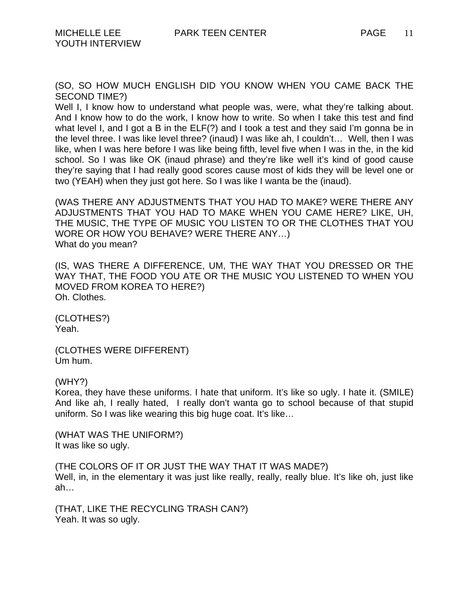(SO, SO HOW MUCH ENGLISH DID YOU KNOW WHEN YOU CAME BACK THE SECOND TIME?)

Well I, I know how to understand what people was, were, what they're talking about. And I know how to do the work, I know how to write. So when I take this test and find what level I, and I got a B in the ELF(?) and I took a test and they said I'm gonna be in the level three. I was like level three? (inaud) I was like ah, I couldn't… Well, then I was like, when I was here before I was like being fifth, level five when I was in the, in the kid school. So I was like OK (inaud phrase) and they're like well it's kind of good cause they're saying that I had really good scores cause most of kids they will be level one or two (YEAH) when they just got here. So I was like I wanta be the (inaud).

(WAS THERE ANY ADJUSTMENTS THAT YOU HAD TO MAKE? WERE THERE ANY ADJUSTMENTS THAT YOU HAD TO MAKE WHEN YOU CAME HERE? LIKE, UH, THE MUSIC, THE TYPE OF MUSIC YOU LISTEN TO OR THE CLOTHES THAT YOU WORE OR HOW YOU BEHAVE? WERE THERE ANY…) What do you mean?

(IS, WAS THERE A DIFFERENCE, UM, THE WAY THAT YOU DRESSED OR THE WAY THAT, THE FOOD YOU ATE OR THE MUSIC YOU LISTENED TO WHEN YOU MOVED FROM KOREA TO HERE?) Oh. Clothes.

(CLOTHES?) Yeah.

(CLOTHES WERE DIFFERENT) Um hum.

(WHY?)

Korea, they have these uniforms. I hate that uniform. It's like so ugly. I hate it. (SMILE) And like ah, I really hated, I really don't wanta go to school because of that stupid uniform. So I was like wearing this big huge coat. It's like…

(WHAT WAS THE UNIFORM?) It was like so ugly.

(THE COLORS OF IT OR JUST THE WAY THAT IT WAS MADE?) Well, in, in the elementary it was just like really, really, really blue. It's like oh, just like ah…

(THAT, LIKE THE RECYCLING TRASH CAN?) Yeah. It was so ugly.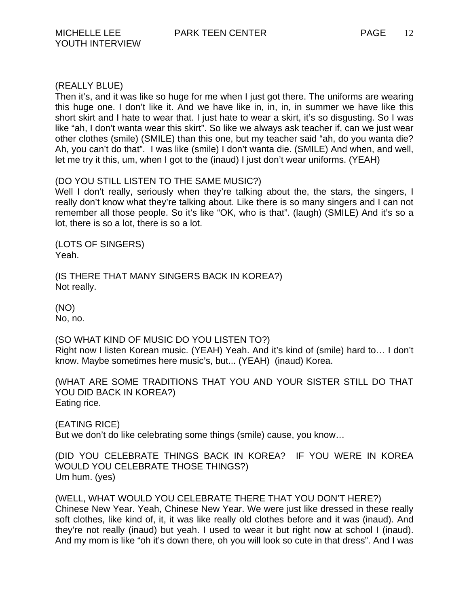# (REALLY BLUE)

Then it's, and it was like so huge for me when I just got there. The uniforms are wearing this huge one. I don't like it. And we have like in, in, in, in summer we have like this short skirt and I hate to wear that. I just hate to wear a skirt, it's so disgusting. So I was like "ah, I don't wanta wear this skirt". So like we always ask teacher if, can we just wear other clothes (smile) (SMILE) than this one, but my teacher said "ah, do you wanta die? Ah, you can't do that". I was like (smile) I don't wanta die. (SMILE) And when, and well, let me try it this, um, when I got to the (inaud) I just don't wear uniforms. (YEAH)

# (DO YOU STILL LISTEN TO THE SAME MUSIC?)

Well I don't really, seriously when they're talking about the, the stars, the singers, I really don't know what they're talking about. Like there is so many singers and I can not remember all those people. So it's like "OK, who is that". (laugh) (SMILE) And it's so a lot, there is so a lot, there is so a lot.

(LOTS OF SINGERS) Yeah.

(IS THERE THAT MANY SINGERS BACK IN KOREA?) Not really.

(NO) No, no.

(SO WHAT KIND OF MUSIC DO YOU LISTEN TO?) Right now I listen Korean music. (YEAH) Yeah. And it's kind of (smile) hard to… I don't know. Maybe sometimes here music's, but... (YEAH) (inaud) Korea.

(WHAT ARE SOME TRADITIONS THAT YOU AND YOUR SISTER STILL DO THAT YOU DID BACK IN KOREA?) Eating rice.

(EATING RICE) But we don't do like celebrating some things (smile) cause, you know…

(DID YOU CELEBRATE THINGS BACK IN KOREA? IF YOU WERE IN KOREA WOULD YOU CELEBRATE THOSE THINGS?) Um hum. (yes)

(WELL, WHAT WOULD YOU CELEBRATE THERE THAT YOU DON'T HERE?) Chinese New Year. Yeah, Chinese New Year. We were just like dressed in these really soft clothes, like kind of, it, it was like really old clothes before and it was (inaud). And they're not really (inaud) but yeah. I used to wear it but right now at school I (inaud). And my mom is like "oh it's down there, oh you will look so cute in that dress". And I was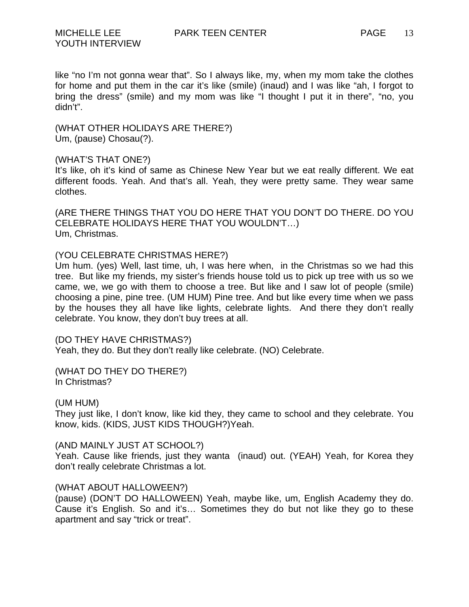like "no I'm not gonna wear that". So I always like, my, when my mom take the clothes for home and put them in the car it's like (smile) (inaud) and I was like "ah, I forgot to bring the dress" (smile) and my mom was like "I thought I put it in there", "no, you didn't".

(WHAT OTHER HOLIDAYS ARE THERE?) Um, (pause) Chosau(?).

(WHAT'S THAT ONE?)

It's like, oh it's kind of same as Chinese New Year but we eat really different. We eat different foods. Yeah. And that's all. Yeah, they were pretty same. They wear same clothes.

(ARE THERE THINGS THAT YOU DO HERE THAT YOU DON'T DO THERE. DO YOU CELEBRATE HOLIDAYS HERE THAT YOU WOULDN'T…) Um, Christmas.

### (YOU CELEBRATE CHRISTMAS HERE?)

Um hum. (yes) Well, last time, uh, I was here when, in the Christmas so we had this tree. But like my friends, my sister's friends house told us to pick up tree with us so we came, we, we go with them to choose a tree. But like and I saw lot of people (smile) choosing a pine, pine tree. (UM HUM) Pine tree. And but like every time when we pass by the houses they all have like lights, celebrate lights. And there they don't really celebrate. You know, they don't buy trees at all.

(DO THEY HAVE CHRISTMAS?) Yeah, they do. But they don't really like celebrate. (NO) Celebrate.

(WHAT DO THEY DO THERE?) In Christmas?

(UM HUM)

They just like, I don't know, like kid they, they came to school and they celebrate. You know, kids. (KIDS, JUST KIDS THOUGH?)Yeah.

### (AND MAINLY JUST AT SCHOOL?)

Yeah. Cause like friends, just they wanta (inaud) out. (YEAH) Yeah, for Korea they don't really celebrate Christmas a lot.

### (WHAT ABOUT HALLOWEEN?)

(pause) (DON'T DO HALLOWEEN) Yeah, maybe like, um, English Academy they do. Cause it's English. So and it's… Sometimes they do but not like they go to these apartment and say "trick or treat".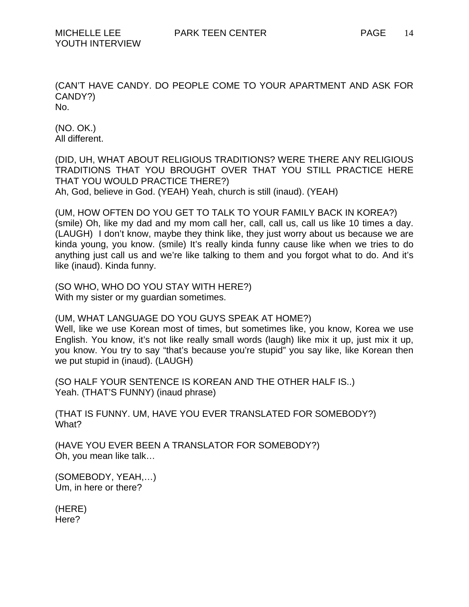(CAN'T HAVE CANDY. DO PEOPLE COME TO YOUR APARTMENT AND ASK FOR CANDY?) No.

(NO. OK.) All different.

(DID, UH, WHAT ABOUT RELIGIOUS TRADITIONS? WERE THERE ANY RELIGIOUS TRADITIONS THAT YOU BROUGHT OVER THAT YOU STILL PRACTICE HERE THAT YOU WOULD PRACTICE THERE?)

Ah, God, believe in God. (YEAH) Yeah, church is still (inaud). (YEAH)

(UM, HOW OFTEN DO YOU GET TO TALK TO YOUR FAMILY BACK IN KOREA?) (smile) Oh, like my dad and my mom call her, call, call us, call us like 10 times a day. (LAUGH) I don't know, maybe they think like, they just worry about us because we are kinda young, you know. (smile) It's really kinda funny cause like when we tries to do anything just call us and we're like talking to them and you forgot what to do. And it's like (inaud). Kinda funny.

(SO WHO, WHO DO YOU STAY WITH HERE?) With my sister or my guardian sometimes.

(UM, WHAT LANGUAGE DO YOU GUYS SPEAK AT HOME?)

Well, like we use Korean most of times, but sometimes like, you know, Korea we use English. You know, it's not like really small words (laugh) like mix it up, just mix it up, you know. You try to say "that's because you're stupid" you say like, like Korean then we put stupid in (inaud). (LAUGH)

(SO HALF YOUR SENTENCE IS KOREAN AND THE OTHER HALF IS..) Yeah. (THAT'S FUNNY) (inaud phrase)

(THAT IS FUNNY. UM, HAVE YOU EVER TRANSLATED FOR SOMEBODY?) What?

(HAVE YOU EVER BEEN A TRANSLATOR FOR SOMEBODY?) Oh, you mean like talk…

(SOMEBODY, YEAH,…) Um, in here or there?

(HERE) Here?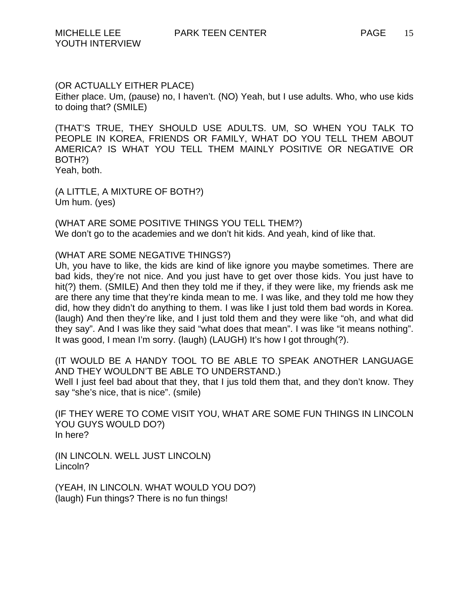## (OR ACTUALLY EITHER PLACE)

Either place. Um, (pause) no, I haven't. (NO) Yeah, but I use adults. Who, who use kids to doing that? (SMILE)

(THAT'S TRUE, THEY SHOULD USE ADULTS. UM, SO WHEN YOU TALK TO PEOPLE IN KOREA, FRIENDS OR FAMILY, WHAT DO YOU TELL THEM ABOUT AMERICA? IS WHAT YOU TELL THEM MAINLY POSITIVE OR NEGATIVE OR BOTH?) Yeah, both.

(A LITTLE, A MIXTURE OF BOTH?) Um hum. (yes)

(WHAT ARE SOME POSITIVE THINGS YOU TELL THEM?) We don't go to the academies and we don't hit kids. And yeah, kind of like that.

#### (WHAT ARE SOME NEGATIVE THINGS?)

Uh, you have to like, the kids are kind of like ignore you maybe sometimes. There are bad kids, they're not nice. And you just have to get over those kids. You just have to hit(?) them. (SMILE) And then they told me if they, if they were like, my friends ask me are there any time that they're kinda mean to me. I was like, and they told me how they did, how they didn't do anything to them. I was like I just told them bad words in Korea. (laugh) And then they're like, and I just told them and they were like "oh, and what did they say". And I was like they said "what does that mean". I was like "it means nothing". It was good, I mean I'm sorry. (laugh) (LAUGH) It's how I got through(?).

(IT WOULD BE A HANDY TOOL TO BE ABLE TO SPEAK ANOTHER LANGUAGE AND THEY WOULDN'T BE ABLE TO UNDERSTAND.) Well I just feel bad about that they, that I jus told them that, and they don't know. They say "she's nice, that is nice". (smile)

(IF THEY WERE TO COME VISIT YOU, WHAT ARE SOME FUN THINGS IN LINCOLN YOU GUYS WOULD DO?) In here?

(IN LINCOLN. WELL JUST LINCOLN) Lincoln?

(YEAH, IN LINCOLN. WHAT WOULD YOU DO?) (laugh) Fun things? There is no fun things!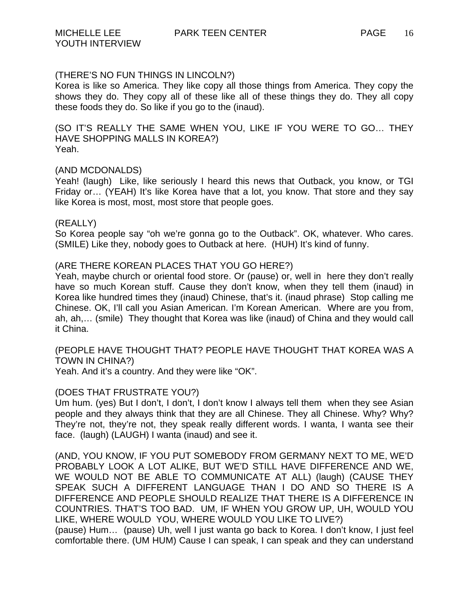# (THERE'S NO FUN THINGS IN LINCOLN?)

Korea is like so America. They like copy all those things from America. They copy the shows they do. They copy all of these like all of these things they do. They all copy these foods they do. So like if you go to the (inaud).

(SO IT'S REALLY THE SAME WHEN YOU, LIKE IF YOU WERE TO GO… THEY HAVE SHOPPING MALLS IN KOREA?) Yeah.

# (AND MCDONALDS)

Yeah! (laugh) Like, like seriously I heard this news that Outback, you know, or TGI Friday or… (YEAH) It's like Korea have that a lot, you know. That store and they say like Korea is most, most, most store that people goes.

### (REALLY)

So Korea people say "oh we're gonna go to the Outback". OK, whatever. Who cares. (SMILE) Like they, nobody goes to Outback at here. (HUH) It's kind of funny.

# (ARE THERE KOREAN PLACES THAT YOU GO HERE?)

Yeah, maybe church or oriental food store. Or (pause) or, well in here they don't really have so much Korean stuff. Cause they don't know, when they tell them (inaud) in Korea like hundred times they (inaud) Chinese, that's it. (inaud phrase) Stop calling me Chinese. OK, I'll call you Asian American. I'm Korean American. Where are you from, ah, ah,… (smile) They thought that Korea was like (inaud) of China and they would call it China.

(PEOPLE HAVE THOUGHT THAT? PEOPLE HAVE THOUGHT THAT KOREA WAS A TOWN IN CHINA?)

Yeah. And it's a country. And they were like "OK".

# (DOES THAT FRUSTRATE YOU?)

Um hum. (yes) But I don't, I don't, I don't know I always tell them when they see Asian people and they always think that they are all Chinese. They all Chinese. Why? Why? They're not, they're not, they speak really different words. I wanta, I wanta see their face. (laugh) (LAUGH) I wanta (inaud) and see it.

(AND, YOU KNOW, IF YOU PUT SOMEBODY FROM GERMANY NEXT TO ME, WE'D PROBABLY LOOK A LOT ALIKE, BUT WE'D STILL HAVE DIFFERENCE AND WE, WE WOULD NOT BE ABLE TO COMMUNICATE AT ALL) (laugh) (CAUSE THEY SPEAK SUCH A DIFFERENT LANGUAGE THAN I DO AND SO THERE IS A DIFFERENCE AND PEOPLE SHOULD REALIZE THAT THERE IS A DIFFERENCE IN COUNTRIES. THAT'S TOO BAD. UM, IF WHEN YOU GROW UP, UH, WOULD YOU LIKE, WHERE WOULD YOU, WHERE WOULD YOU LIKE TO LIVE?)

(pause) Hum… (pause) Uh, well I just wanta go back to Korea. I don't know, I just feel comfortable there. (UM HUM) Cause I can speak, I can speak and they can understand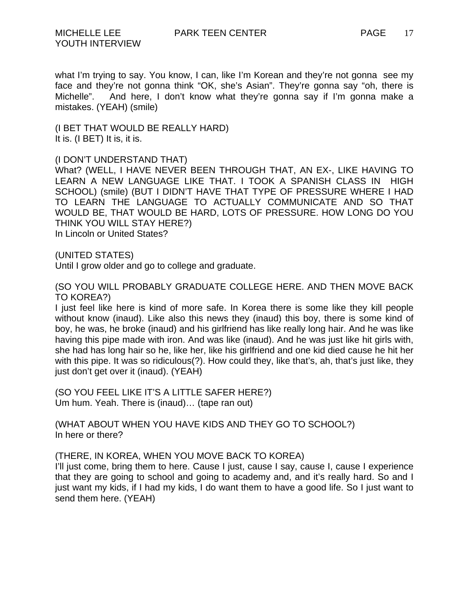what I'm trying to say. You know, I can, like I'm Korean and they're not gonna see my face and they're not gonna think "OK, she's Asian". They're gonna say "oh, there is Michelle". And here, I don't know what they're gonna say if I'm gonna make a mistakes. (YEAH) (smile)

(I BET THAT WOULD BE REALLY HARD) It is. (I BET) It is, it is.

# (I DON'T UNDERSTAND THAT)

What? (WELL, I HAVE NEVER BEEN THROUGH THAT, AN EX-, LIKE HAVING TO LEARN A NEW LANGUAGE LIKE THAT. I TOOK A SPANISH CLASS IN HIGH SCHOOL) (smile) (BUT I DIDN'T HAVE THAT TYPE OF PRESSURE WHERE I HAD TO LEARN THE LANGUAGE TO ACTUALLY COMMUNICATE AND SO THAT WOULD BE, THAT WOULD BE HARD, LOTS OF PRESSURE. HOW LONG DO YOU THINK YOU WILL STAY HERE?) In Lincoln or United States?

(UNITED STATES)

Until I grow older and go to college and graduate.

(SO YOU WILL PROBABLY GRADUATE COLLEGE HERE. AND THEN MOVE BACK TO KOREA?)

I just feel like here is kind of more safe. In Korea there is some like they kill people without know (inaud). Like also this news they (inaud) this boy, there is some kind of boy, he was, he broke (inaud) and his girlfriend has like really long hair. And he was like having this pipe made with iron. And was like (inaud). And he was just like hit girls with, she had has long hair so he, like her, like his girlfriend and one kid died cause he hit her with this pipe. It was so ridiculous(?). How could they, like that's, ah, that's just like, they just don't get over it (inaud). (YEAH)

(SO YOU FEEL LIKE IT'S A LITTLE SAFER HERE?) Um hum. Yeah. There is (inaud)… (tape ran out)

(WHAT ABOUT WHEN YOU HAVE KIDS AND THEY GO TO SCHOOL?) In here or there?

(THERE, IN KOREA, WHEN YOU MOVE BACK TO KOREA)

I'll just come, bring them to here. Cause I just, cause I say, cause I, cause I experience that they are going to school and going to academy and, and it's really hard. So and I just want my kids, if I had my kids, I do want them to have a good life. So I just want to send them here. (YEAH)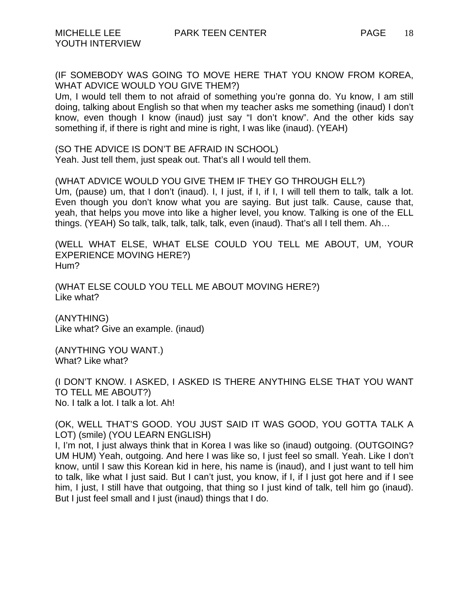(IF SOMEBODY WAS GOING TO MOVE HERE THAT YOU KNOW FROM KOREA, WHAT ADVICE WOULD YOU GIVE THEM?)

Um, I would tell them to not afraid of something you're gonna do. Yu know, I am still doing, talking about English so that when my teacher asks me something (inaud) I don't know, even though I know (inaud) just say "I don't know". And the other kids say something if, if there is right and mine is right, I was like (inaud). (YEAH)

(SO THE ADVICE IS DON'T BE AFRAID IN SCHOOL) Yeah. Just tell them, just speak out. That's all I would tell them.

(WHAT ADVICE WOULD YOU GIVE THEM IF THEY GO THROUGH ELL?) Um, (pause) um, that I don't (inaud). I, I just, if I, if I, I will tell them to talk, talk a lot. Even though you don't know what you are saying. But just talk. Cause, cause that, yeah, that helps you move into like a higher level, you know. Talking is one of the ELL things. (YEAH) So talk, talk, talk, talk, talk, even (inaud). That's all I tell them. Ah…

(WELL WHAT ELSE, WHAT ELSE COULD YOU TELL ME ABOUT, UM, YOUR EXPERIENCE MOVING HERE?) Hum?

(WHAT ELSE COULD YOU TELL ME ABOUT MOVING HERE?) Like what?

(ANYTHING) Like what? Give an example. (inaud)

(ANYTHING YOU WANT.) What? Like what?

(I DON'T KNOW. I ASKED, I ASKED IS THERE ANYTHING ELSE THAT YOU WANT TO TELL ME ABOUT?) No. I talk a lot. I talk a lot. Ah!

(OK, WELL THAT'S GOOD. YOU JUST SAID IT WAS GOOD, YOU GOTTA TALK A LOT) (smile) (YOU LEARN ENGLISH)

I, I'm not, I just always think that in Korea I was like so (inaud) outgoing. (OUTGOING? UM HUM) Yeah, outgoing. And here I was like so, I just feel so small. Yeah. Like I don't know, until I saw this Korean kid in here, his name is (inaud), and I just want to tell him to talk, like what I just said. But I can't just, you know, if I, if I just got here and if I see him, I just, I still have that outgoing, that thing so I just kind of talk, tell him go (inaud). But I just feel small and I just (inaud) things that I do.